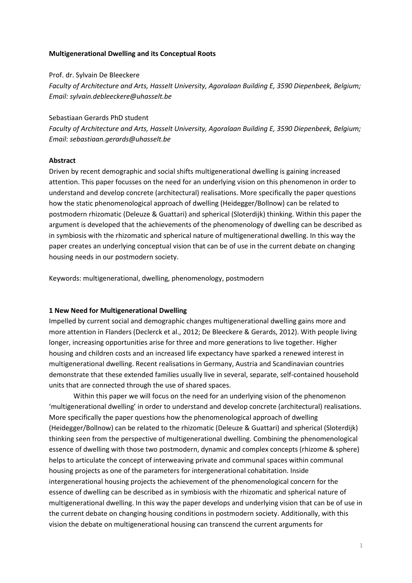# **Multigenerational Dwelling and its Conceptual Roots**

#### Prof. dr. Sylvain De Bleeckere

*Faculty of Architecture and Arts, Hasselt University, Agoralaan Building E, 3590 Diepenbeek, Belgium; Email: sylvain.debleeckere@uhasselt.be*

Sebastiaan Gerards PhD student

*Faculty of Architecture and Arts, Hasselt University, Agoralaan Building E, 3590 Diepenbeek, Belgium; Email: sebastiaan.gerards@uhasselt.be*

#### **Abstract**

Driven by recent demographic and social shifts multigenerational dwelling is gaining increased attention. This paper focusses on the need for an underlying vision on this phenomenon in order to understand and develop concrete (architectural) realisations. More specifically the paper questions how the static phenomenological approach of dwelling (Heidegger/Bollnow) can be related to postmodern rhizomatic (Deleuze & Guattari) and spherical (Sloterdijk) thinking. Within this paper the argument is developed that the achievements of the phenomenology of dwelling can be described as in symbiosis with the rhizomatic and spherical nature of multigenerational dwelling. In this way the paper creates an underlying conceptual vision that can be of use in the current debate on changing housing needs in our postmodern society.

Keywords: multigenerational, dwelling, phenomenology, postmodern

#### **1 New Need for Multigenerational Dwelling**

Impelled by current social and demographic changes multigenerational dwelling gains more and more attention in Flanders (Declerck et al., 2012; De Bleeckere & Gerards, 2012). With people living longer, increasing opportunities arise for three and more generations to live together. Higher housing and children costs and an increased life expectancy have sparked a renewed interest in multigenerational dwelling. Recent realisations in Germany, Austria and Scandinavian countries demonstrate that these extended families usually live in several, separate, self-contained household units that are connected through the use of shared spaces.

Within this paper we will focus on the need for an underlying vision of the phenomenon 'multigenerational dwelling' in order to understand and develop concrete (architectural) realisations. More specifically the paper questions how the phenomenological approach of dwelling (Heidegger/Bollnow) can be related to the rhizomatic (Deleuze & Guattari) and spherical (Sloterdijk) thinking seen from the perspective of multigenerational dwelling. Combining the phenomenological essence of dwelling with those two postmodern, dynamic and complex concepts (rhizome & sphere) helps to articulate the concept of interweaving private and communal spaces within communal housing projects as one of the parameters for intergenerational cohabitation. Inside intergenerational housing projects the achievement of the phenomenological concern for the essence of dwelling can be described as in symbiosis with the rhizomatic and spherical nature of multigenerational dwelling. In this way the paper develops and underlying vision that can be of use in the current debate on changing housing conditions in postmodern society. Additionally, with this vision the debate on multigenerational housing can transcend the current arguments for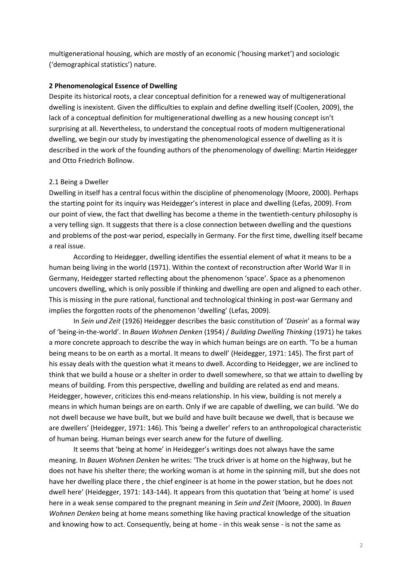multigenerational housing, which are mostly of an economic ('housing market') and sociologic ('demographical statistics') nature.

# **2 Phenomenological Essence of Dwelling**

Despite its historical roots, a clear conceptual definition for a renewed way of multigenerational dwelling is inexistent. Given the difficulties to explain and define dwelling itself (Coolen, 2009), the lack of a conceptual definition for multigenerational dwelling as a new housing concept isn't surprising at all. Nevertheless, to understand the conceptual roots of modern multigenerational dwelling, we begin our study by investigating the phenomenological essence of dwelling as it is described in the work of the founding authors of the phenomenology of dwelling: Martin Heidegger and Otto Friedrich Bollnow.

## 2.1 Being a Dweller

Dwelling in itself has a central focus within the discipline of phenomenology (Moore, 2000). Perhaps the starting point for its inquiry was Heidegger's interest in place and dwelling (Lefas, 2009). From our point of view, the fact that dwelling has become a theme in the twentieth-century philosophy is a very telling sign. It suggests that there is a close connection between dwelling and the questions and problems of the post-war period, especially in Germany. For the first time, dwelling itself became a real issue.

According to Heidegger, dwelling identifies the essential element of what it means to be a human being living in the world (1971). Within the context of reconstruction after World War II in Germany, Heidegger started reflecting about the phenomenon 'space'. Space as a phenomenon uncovers dwelling, which is only possible if thinking and dwelling are open and aligned to each other. This is missing in the pure rational, functional and technological thinking in post-war Germany and implies the forgotten roots of the phenomenon 'dwelling' (Lefas, 2009).

In *Sein und Zeit* (1926) Heidegger describes the basic constitution of '*Dasein*' as a formal way of 'being-in-the-world'. In *Bauen Wohnen Denken* (1954) / *Building Dwelling Thinking* (1971) he takes a more concrete approach to describe the way in which human beings are on earth. 'To be a human being means to be on earth as a mortal. It means to dwell' (Heidegger, 1971: 145). The first part of his essay deals with the question what it means to dwell. According to Heidegger, we are inclined to think that we build a house or a shelter in order to dwell somewhere, so that we attain to dwelling by means of building. From this perspective, dwelling and building are related as end and means. Heidegger, however, criticizes this end-means relationship. In his view, building is not merely a means in which human beings are on earth. Only if we are capable of dwelling, we can build. 'We do not dwell because we have built, but we build and have built because we dwell, that is because we are dwellers' (Heidegger, 1971: 146). This 'being a dweller' refers to an anthropological characteristic of human being. Human beings ever search anew for the future of dwelling.

It seems that 'being at home' in Heidegger's writings does not always have the same meaning. In *Bauen Wohnen Denken* he writes: 'The truck driver is at home on the highway, but he does not have his shelter there; the working woman is at home in the spinning mill, but she does not have her dwelling place there , the chief engineer is at home in the power station, but he does not dwell here' (Heidegger, 1971: 143-144). It appears from this quotation that 'being at home' is used here in a weak sense compared to the pregnant meaning in *Sein und Zeit* (Moore, 2000). In *Bauen Wohnen Denken* being at home means something like having practical knowledge of the situation and knowing how to act. Consequently, being at home - in this weak sense - is not the same as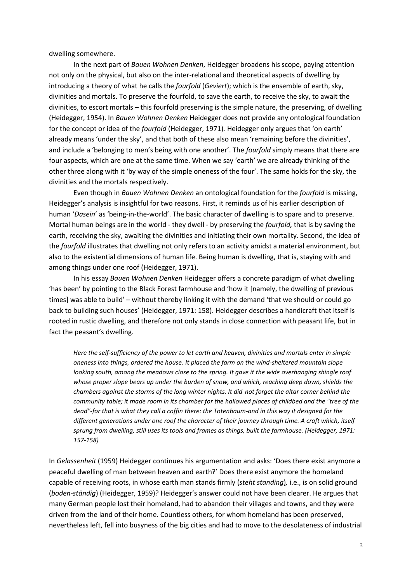dwelling somewhere.

In the next part of *Bauen Wohnen Denken*, Heidegger broadens his scope, paying attention not only on the physical, but also on the inter-relational and theoretical aspects of dwelling by introducing a theory of what he calls the *fourfold* (*Geviert*); which is the ensemble of earth, sky, divinities and mortals. To preserve the fourfold, to save the earth, to receive the sky, to await the divinities, to escort mortals – this fourfold preserving is the simple nature, the preserving, of dwelling (Heidegger, 1954). In *Bauen Wohnen Denken* Heidegger does not provide any ontological foundation for the concept or idea of the *fourfold* (Heidegger, 1971)*.* Heidegger only argues that 'on earth' already means 'under the sky', and that both of these also mean 'remaining before the divinities', and include a 'belonging to men's being with one another'. The *fourfold* simply means that there are four aspects, which are one at the same time. When we say 'earth' we are already thinking of the other three along with it 'by way of the simple oneness of the four'. The same holds for the sky, the divinities and the mortals respectively.

Even though in *Bauen Wohnen Denken* an ontological foundation for the *fourfold* is missing, Heidegger's analysis is insightful for two reasons. First, it reminds us of his earlier description of human '*Dasein*' as 'being-in-the-world'. The basic character of dwelling is to spare and to preserve. Mortal human beings are in the world - they dwell - by preserving the *fourfold,* that is by saving the earth, receiving the sky, awaiting the divinities and initiating their own mortality. Second, the idea of the *fourfold* illustrates that dwelling not only refers to an activity amidst a material environment, but also to the existential dimensions of human life. Being human is dwelling, that is, staying with and among things under one roof (Heidegger, 1971).

In his essay *Bauen Wohnen Denken* Heidegger offers a concrete paradigm of what dwelling 'has been' by pointing to the Black Forest farmhouse and 'how it [namely, the dwelling of previous times] was able to build' – without thereby linking it with the demand 'that we should or could go back to building such houses' (Heidegger, 1971: 158). Heidegger describes a handicraft that itself is rooted in rustic dwelling, and therefore not only stands in close connection with peasant life, but in fact the peasant's dwelling.

*Here the self-sufficiency of the power to let earth and heaven, divinities and mortals enter in simple oneness into things, ordered the house. It placed the farm on the wind-sheltered mountain slope looking south, among the meadows close to the spring. It gave it the wide overhanging shingle roof whose proper slope bears up under the burden of snow, and which, reaching deep down, shields the chambers against the storms of the long winter nights. It did not forget the altar corner behind the community table; it made room in its chamber for the hallowed places of childbed and the "tree of the dead"-for that is what they call a coffin there: the Totenbaum-and in this way it designed for the different generations under one roof the character of their journey through time. A craft which, itself sprung from dwelling, still uses its tools and frames as things, built the farmhouse. (Heidegger, 1971: 157-158)*

In *Gelassenheit* (1959) Heidegger continues his argumentation and asks: 'Does there exist anymore a peaceful dwelling of man between heaven and earth?' Does there exist anymore the homeland capable of receiving roots, in whose earth man stands firmly (*steht standing*)*,* i.e., is on solid ground (*boden-ständig*) (Heidegger, 1959)? Heidegger's answer could not have been clearer. He argues that many German people lost their homeland, had to abandon their villages and towns, and they were driven from the land of their home. Countless others, for whom homeland has been preserved, nevertheless left, fell into busyness of the big cities and had to move to the desolateness of industrial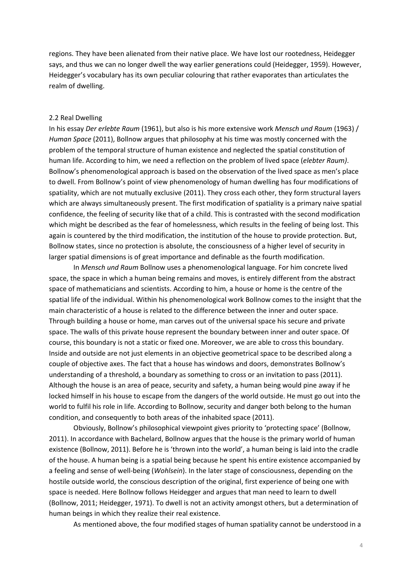regions. They have been alienated from their native place. We have lost our rootedness, Heidegger says, and thus we can no longer dwell the way earlier generations could (Heidegger, 1959). However, Heidegger's vocabulary has its own peculiar colouring that rather evaporates than articulates the realm of dwelling.

### 2.2 Real Dwelling

In his essay *Der erlebte Raum* (1961), but also is his more extensive work *Mensch und Raum* (1963) / *Human Space* (2011), Bollnow argues that philosophy at his time was mostly concerned with the problem of the temporal structure of human existence and neglected the spatial constitution of human life. According to him, we need a reflection on the problem of lived space (*elebter Raum)*. Bollnow's phenomenological approach is based on the observation of the lived space as men's place to dwell. From Bollnow's point of view phenomenology of human dwelling has four modifications of spatiality, which are not mutually exclusive (2011). They cross each other, they form structural layers which are always simultaneously present. The first modification of spatiality is a primary naive spatial confidence, the feeling of security like that of a child. This is contrasted with the second modification which might be described as the fear of homelessness, which results in the feeling of being lost. This again is countered by the third modification, the institution of the house to provide protection. But, Bollnow states, since no protection is absolute, the consciousness of a higher level of security in larger spatial dimensions is of great importance and definable as the fourth modification.

In *Mensch und Raum* Bollnow uses a phenomenological language. For him concrete lived space, the space in which a human being remains and moves, is entirely different from the abstract space of mathematicians and scientists. According to him, a house or home is the centre of the spatial life of the individual. Within his phenomenological work Bollnow comes to the insight that the main characteristic of a house is related to the difference between the inner and outer space. Through building a house or home, man carves out of the universal space his secure and private space. The walls of this private house represent the boundary between inner and outer space. Of course, this boundary is not a static or fixed one. Moreover, we are able to cross this boundary. Inside and outside are not just elements in an objective geometrical space to be described along a couple of objective axes. The fact that a house has windows and doors, demonstrates Bollnow's understanding of a threshold, a boundary as something to cross or an invitation to pass (2011). Although the house is an area of peace, security and safety, a human being would pine away if he locked himself in his house to escape from the dangers of the world outside. He must go out into the world to fulfil his role in life. According to Bollnow, security and danger both belong to the human condition, and consequently to both areas of the inhabited space (2011).

Obviously, Bollnow's philosophical viewpoint gives priority to 'protecting space' (Bollnow, 2011). In accordance with Bachelard, Bollnow argues that the house is the primary world of human existence (Bollnow, 2011). Before he is 'thrown into the world', a human being is laid into the cradle of the house. A human being is a spatial being because he spent his entire existence accompanied by a feeling and sense of well-being (*Wohlsein*). In the later stage of consciousness, depending on the hostile outside world, the conscious description of the original, first experience of being one with space is needed. Here Bollnow follows Heidegger and argues that man need to learn to dwell (Bollnow, 2011; Heidegger, 1971). To dwell is not an activity amongst others, but a determination of human beings in which they realize their real existence.

As mentioned above, the four modified stages of human spatiality cannot be understood in a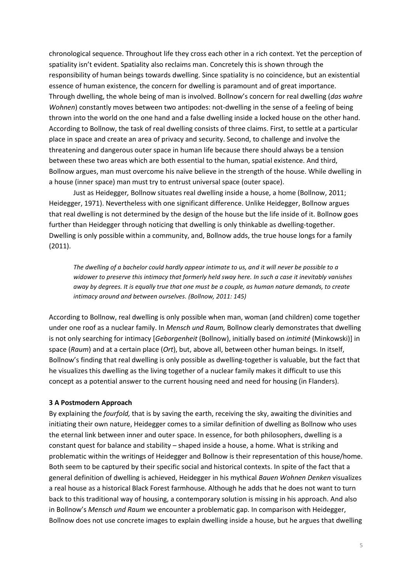chronological sequence. Throughout life they cross each other in a rich context. Yet the perception of spatiality isn't evident. Spatiality also reclaims man. Concretely this is shown through the responsibility of human beings towards dwelling. Since spatiality is no coincidence, but an existential essence of human existence, the concern for dwelling is paramount and of great importance. Through dwelling, the whole being of man is involved. Bollnow's concern for real dwelling (*das wahre Wohnen*) constantly moves between two antipodes: not-dwelling in the sense of a feeling of being thrown into the world on the one hand and a false dwelling inside a locked house on the other hand. According to Bollnow, the task of real dwelling consists of three claims. First, to settle at a particular place in space and create an area of privacy and security. Second, to challenge and involve the threatening and dangerous outer space in human life because there should always be a tension between these two areas which are both essential to the human, spatial existence. And third, Bollnow argues, man must overcome his naïve believe in the strength of the house. While dwelling in a house (inner space) man must try to entrust universal space (outer space).

Just as Heidegger*,* Bollnow situates real dwelling inside a house, a home (Bollnow, 2011; Heidegger, 1971). Nevertheless with one significant difference. Unlike Heidegger, Bollnow argues that real dwelling is not determined by the design of the house but the life inside of it. Bollnow goes further than Heidegger through noticing that dwelling is only thinkable as dwelling-together. Dwelling is only possible within a community, and, Bollnow adds, the true house longs for a family (2011).

*The dwelling of a bachelor could hardly appear intimate to us, and it will never be possible to a widower to preserve this intimacy that formerly held sway here. In such a case it inevitably vanishes away by degrees. It is equally true that one must be a couple, as human nature demands, to create intimacy around and between ourselves. (Bollnow, 2011: 145)*

According to Bollnow, real dwelling is only possible when man, woman (and children) come together under one roof as a nuclear family. In *Mensch und Raum,* Bollnow clearly demonstrates that dwelling is not only searching for intimacy [*Geborgenheit* (Bollnow), initially based on *intimité* (Minkowski)] in space (*Raum*) and at a certain place (*Ort*), but, above all, between other human beings. In itself, Bollnow's finding that real dwelling is only possible as dwelling-together is valuable, but the fact that he visualizes this dwelling as the living together of a nuclear family makes it difficult to use this concept as a potential answer to the current housing need and need for housing (in Flanders).

### **3 A Postmodern Approach**

By explaining the *fourfold,* that is by saving the earth, receiving the sky, awaiting the divinities and initiating their own nature, Heidegger comes to a similar definition of dwelling as Bollnow who uses the eternal link between inner and outer space. In essence, for both philosophers, dwelling is a constant quest for balance and stability – shaped inside a house, a home. What is striking and problematic within the writings of Heidegger and Bollnow is their representation of this house/home. Both seem to be captured by their specific social and historical contexts. In spite of the fact that a general definition of dwelling is achieved, Heidegger in his mythical *Bauen Wohnen Denken* visualizes a real house as a historical Black Forest farmhouse*.* Although he adds that he does not want to turn back to this traditional way of housing, a contemporary solution is missing in his approach. And also in Bollnow's *Mensch und Raum* we encounter a problematic gap. In comparison with Heidegger, Bollnow does not use concrete images to explain dwelling inside a house, but he argues that dwelling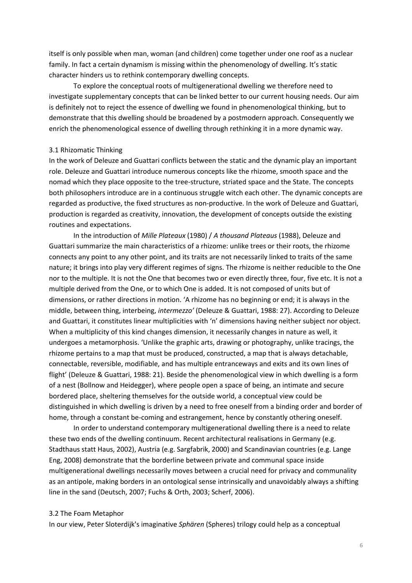itself is only possible when man, woman (and children) come together under one roof as a nuclear family. In fact a certain dynamism is missing within the phenomenology of dwelling. It's static character hinders us to rethink contemporary dwelling concepts.

To explore the conceptual roots of multigenerational dwelling we therefore need to investigate supplementary concepts that can be linked better to our current housing needs. Our aim is definitely not to reject the essence of dwelling we found in phenomenological thinking, but to demonstrate that this dwelling should be broadened by a postmodern approach. Consequently we enrich the phenomenological essence of dwelling through rethinking it in a more dynamic way.

## 3.1 Rhizomatic Thinking

In the work of Deleuze and Guattari conflicts between the static and the dynamic play an important role. Deleuze and Guattari introduce numerous concepts like the rhizome, smooth space and the nomad which they place opposite to the tree-structure, striated space and the State. The concepts both philosophers introduce are in a continuous struggle witch each other. The dynamic concepts are regarded as productive, the fixed structures as non-productive. In the work of Deleuze and Guattari, production is regarded as creativity, innovation, the development of concepts outside the existing routines and expectations.

In the introduction of *Mille Plateaux* (1980) / *A thousand Plateaus* (1988), Deleuze and Guattari summarize the main characteristics of a rhizome: unlike trees or their roots, the rhizome connects any point to any other point, and its traits are not necessarily linked to traits of the same nature; it brings into play very different regimes of signs. The rhizome is neither reducible to the One nor to the multiple. It is not the One that becomes two or even directly three, four, five etc. It is not a multiple derived from the One, or to which One is added. It is not composed of units but of dimensions, or rather directions in motion. 'A rhizome has no beginning or end; it is always in the middle, between thing, interbeing, *intermezzo'* (Deleuze & Guattari, 1988: 27). According to Deleuze and Guattari, it constitutes linear multiplicities with 'n' dimensions having neither subject nor object. When a multiplicity of this kind changes dimension, it necessarily changes in nature as well, it undergoes a metamorphosis. 'Unlike the graphic arts, drawing or photography, unlike tracings, the rhizome pertains to a map that must be produced, constructed, a map that is always detachable, connectable, reversible, modifiable, and has multiple entranceways and exits and its own lines of flight' (Deleuze & Guattari, 1988: 21). Beside the phenomenological view in which dwelling is a form of a nest (Bollnow and Heidegger), where people open a space of being, an intimate and secure bordered place, sheltering themselves for the outside world, a conceptual view could be distinguished in which dwelling is driven by a need to free oneself from a binding order and border of home, through a constant be-coming and estrangement, hence by constantly othering oneself.

In order to understand contemporary multigenerational dwelling there is a need to relate these two ends of the dwelling continuum. Recent architectural realisations in Germany (e.g. Stadthaus statt Haus, 2002), Austria (e.g. Sargfabrik, 2000) and Scandinavian countries (e.g. Lange Eng, 2008) demonstrate that the borderline between private and communal space inside multigenerational dwellings necessarily moves between a crucial need for privacy and communality as an antipole, making borders in an ontological sense intrinsically and unavoidably always a shifting line in the sand (Deutsch, 2007; Fuchs & Orth, 2003; Scherf, 2006).

### 3.2 The Foam Metaphor

In our view, Peter Sloterdijk's imaginative *Sphären* (Spheres) trilogy could help as a conceptual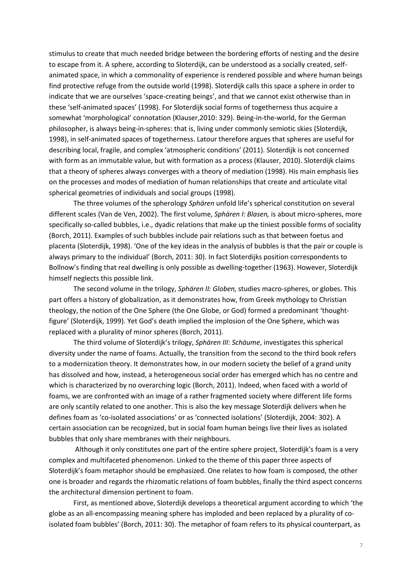stimulus to create that much needed bridge between the bordering efforts of nesting and the desire to escape from it. A sphere, according to Sloterdijk, can be understood as a socially created, selfanimated space, in which a commonality of experience is rendered possible and where human beings find protective refuge from the outside world (1998). Sloterdijk calls this space a sphere in order to indicate that we are ourselves 'space-creating beings', and that we cannot exist otherwise than in these 'self-animated spaces' (1998). For Sloterdijk social forms of togetherness thus acquire a somewhat 'morphological' connotation (Klauser,2010: 329). Being-in-the-world, for the German philosopher, is always being-in-spheres: that is, living under commonly semiotic skies (Sloterdijk, 1998), in self-animated spaces of togetherness. Latour therefore argues that spheres are useful for describing local, fragile, and complex 'atmospheric conditions' (2011). Sloterdijk is not concerned with form as an immutable value, but with formation as a process (Klauser, 2010). Sloterdijk claims that a theory of spheres always converges with a theory of mediation (1998). His main emphasis lies on the processes and modes of mediation of human relationships that create and articulate vital spherical geometries of individuals and social groups (1998).

The three volumes of the spherology *Sphären* unfold life's spherical constitution on several different scales (Van de Ven, 2002). The first volume, *Sphären I: Blasen,* is about micro-spheres, more specifically so-called bubbles, i.e., dyadic relations that make up the tiniest possible forms of sociality (Borch, 2011). Examples of such bubbles include pair relations such as that between foetus and placenta (Sloterdijk, 1998). 'One of the key ideas in the analysis of bubbles is that the pair or couple is always primary to the individual' (Borch, 2011: 30). In fact Sloterdijks position correspondents to Bollnow's finding that real dwelling is only possible as dwelling-together (1963). However, Sloterdijk himself neglects this possible link.

The second volume in the trilogy, *Sphären II: Globen,* studies macro-spheres, or globes. This part offers a history of globalization, as it demonstrates how, from Greek mythology to Christian theology, the notion of the One Sphere (the One Globe, or God) formed a predominant 'thoughtfigure' (Sloterdijk, 1999). Yet God's death implied the implosion of the One Sphere, which was replaced with a plurality of minor spheres (Borch, 2011).

The third volume of Sloterdijk's trilogy, *Sphären III: Schäume*, investigates this spherical diversity under the name of foams. Actually, the transition from the second to the third book refers to a modernization theory. It demonstrates how, in our modern society the belief of a grand unity has dissolved and how, instead, a heterogeneous social order has emerged which has no centre and which is characterized by no overarching logic (Borch, 2011). Indeed, when faced with a world of foams, we are confronted with an image of a rather fragmented society where different life forms are only scantily related to one another. This is also the key message Sloterdijk delivers when he defines foam as 'co-isolated associations' or as 'connected isolations' (Sloterdijk, 2004: 302). A certain association can be recognized, but in social foam human beings live their lives as isolated bubbles that only share membranes with their neighbours.

Although it only constitutes one part of the entire sphere project, Sloterdijk's foam is a very complex and multifaceted phenomenon. Linked to the theme of this paper three aspects of Sloterdijk's foam metaphor should be emphasized. One relates to how foam is composed, the other one is broader and regards the rhizomatic relations of foam bubbles, finally the third aspect concerns the architectural dimension pertinent to foam.

First, as mentioned above, Sloterdijk develops a theoretical argument according to which 'the globe as an all-encompassing meaning sphere has imploded and been replaced by a plurality of coisolated foam bubbles' (Borch, 2011: 30). The metaphor of foam refers to its physical counterpart, as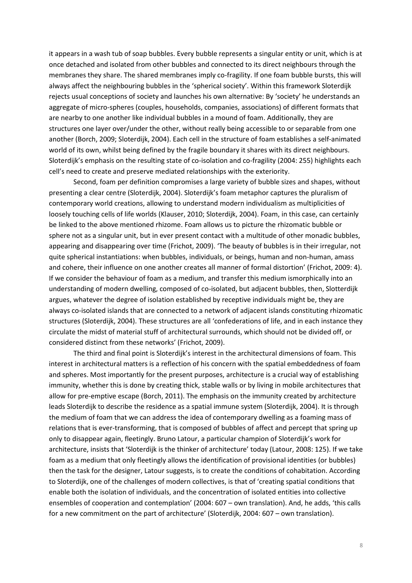it appears in a wash tub of soap bubbles. Every bubble represents a singular entity or unit, which is at once detached and isolated from other bubbles and connected to its direct neighbours through the membranes they share. The shared membranes imply co-fragility. If one foam bubble bursts, this will always affect the neighbouring bubbles in the 'spherical society'. Within this framework Sloterdijk rejects usual conceptions of society and launches his own alternative: By 'society' he understands an aggregate of micro-spheres (couples, households, companies, associations) of different formats that are nearby to one another like individual bubbles in a mound of foam. Additionally, they are structures one layer over/under the other, without really being accessible to or separable from one another (Borch, 2009; Sloterdijk, 2004). Each cell in the structure of foam establishes a self-animated world of its own, whilst being defined by the fragile boundary it shares with its direct neighbours. Sloterdijk's emphasis on the resulting state of co-isolation and co-fragility (2004: 255) highlights each cell's need to create and preserve mediated relationships with the exteriority.

Second, foam per definition compromises a large variety of bubble sizes and shapes, without presenting a clear centre (Sloterdijk, 2004). Sloterdijk's foam metaphor captures the pluralism of contemporary world creations, allowing to understand modern individualism as multiplicities of loosely touching cells of life worlds (Klauser, 2010; Sloterdijk, 2004). Foam, in this case, can certainly be linked to the above mentioned rhizome. Foam allows us to picture the rhizomatic bubble or sphere not as a singular unit, but in ever present contact with a multitude of other monadic bubbles, appearing and disappearing over time (Frichot, 2009). 'The beauty of bubbles is in their irregular, not quite spherical instantiations: when bubbles, individuals, or beings, human and non-human, amass and cohere, their influence on one another creates all manner of formal distortion' (Frichot, 2009: 4). If we consider the behaviour of foam as a medium, and transfer this medium ismorphically into an understanding of modern dwelling, composed of co-isolated, but adjacent bubbles, then, Slotterdijk argues, whatever the degree of isolation established by receptive individuals might be, they are always co-isolated islands that are connected to a network of adjacent islands constituting rhizomatic structures (Sloterdijk, 2004). These structures are all 'confederations of life, and in each instance they circulate the midst of material stuff of architectural surrounds, which should not be divided off, or considered distinct from these networks' (Frichot, 2009).

The third and final point is Sloterdijk's interest in the architectural dimensions of foam. This interest in architectural matters is a reflection of his concern with the spatial embeddedness of foam and spheres. Most importantly for the present purposes, architecture is a crucial way of establishing immunity, whether this is done by creating thick, stable walls or by living in mobile architectures that allow for pre-emptive escape (Borch, 2011). The emphasis on the immunity created by architecture leads Sloterdijk to describe the residence as a spatial immune system (Sloterdijk, 2004). It is through the medium of foam that we can address the idea of contemporary dwelling as a foaming mass of relations that is ever-transforming, that is composed of bubbles of affect and percept that spring up only to disappear again, fleetingly. Bruno Latour, a particular champion of Sloterdijk's work for architecture, insists that 'Sloterdijk is the thinker of architecture' today (Latour, 2008: 125). If we take foam as a medium that only fleetingly allows the identification of provisional identities (or bubbles) then the task for the designer, Latour suggests, is to create the conditions of cohabitation. According to Sloterdijk, one of the challenges of modern collectives, is that of 'creating spatial conditions that enable both the isolation of individuals, and the concentration of isolated entities into collective ensembles of cooperation and contemplation' (2004: 607 – own translation). And, he adds, 'this calls for a new commitment on the part of architecture' (Sloterdijk, 2004: 607 – own translation).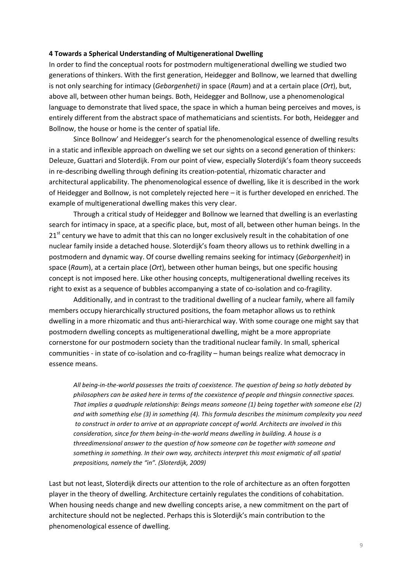## **4 Towards a Spherical Understanding of Multigenerational Dwelling**

In order to find the conceptual roots for postmodern multigenerational dwelling we studied two generations of thinkers. With the first generation, Heidegger and Bollnow, we learned that dwelling is not only searching for intimacy (*Geborgenheti)* in space (*Raum*) and at a certain place (*Ort*), but, above all, between other human beings. Both, Heidegger and Bollnow, use a phenomenological language to demonstrate that lived space, the space in which a human being perceives and moves, is entirely different from the abstract space of mathematicians and scientists. For both, Heidegger and Bollnow, the house or home is the center of spatial life.

Since Bollnow' and Heidegger's search for the phenomenological essence of dwelling results in a static and inflexible approach on dwelling we set our sights on a second generation of thinkers: Deleuze, Guattari and Sloterdijk. From our point of view, especially Sloterdijk's foam theory succeeds in re-describing dwelling through defining its creation-potential, rhizomatic character and architectural applicability. The phenomenological essence of dwelling, like it is described in the work of Heidegger and Bollnow, is not completely rejected here – it is further developed en enriched. The example of multigenerational dwelling makes this very clear.

Through a critical study of Heidegger and Bollnow we learned that dwelling is an everlasting search for intimacy in space, at a specific place, but, most of all, between other human beings. In the  $21<sup>st</sup>$  century we have to admit that this can no longer exclusively result in the cohabitation of one nuclear family inside a detached house. Sloterdijk's foam theory allows us to rethink dwelling in a postmodern and dynamic way. Of course dwelling remains seeking for intimacy (*Geborgenheit*) in space (*Raum*), at a certain place (*Ort*), between other human beings, but one specific housing concept is not imposed here. Like other housing concepts, multigenerational dwelling receives its right to exist as a sequence of bubbles accompanying a state of co-isolation and co-fragility.

Additionally, and in contrast to the traditional dwelling of a nuclear family, where all family members occupy hierarchically structured positions, the foam metaphor allows us to rethink dwelling in a more rhizomatic and thus anti-hierarchical way. With some courage one might say that postmodern dwelling concepts as multigenerational dwelling, might be a more appropriate cornerstone for our postmodern society than the traditional nuclear family. In small, spherical communities - in state of co-isolation and co-fragility – human beings realize what democracy in essence means.

*All being-in-the-world possesses the traits of coexistence. The question of being so hotly debated by philosophers can be asked here in terms of the coexistence of people and thingsin connective spaces. That implies a quadruple relationship: Beings means someone (1) being together with someone else (2) and with something else (3) in something (4). This formula describes the minimum complexity you need to construct in order to arrive at an appropriate concept of world. Architects are involved in this consideration, since for them being-in-the-world means dwelling in building. A house is a threedimensional answer to the question of how someone can be together with someone and something in something. In their own way, architects interpret this most enigmatic of all spatial prepositions, namely the "in". (Sloterdijk, 2009)*

Last but not least, Sloterdijk directs our attention to the role of architecture as an often forgotten player in the theory of dwelling. Architecture certainly regulates the conditions of cohabitation. When housing needs change and new dwelling concepts arise, a new commitment on the part of architecture should not be neglected. Perhaps this is Sloterdijk's main contribution to the phenomenological essence of dwelling.